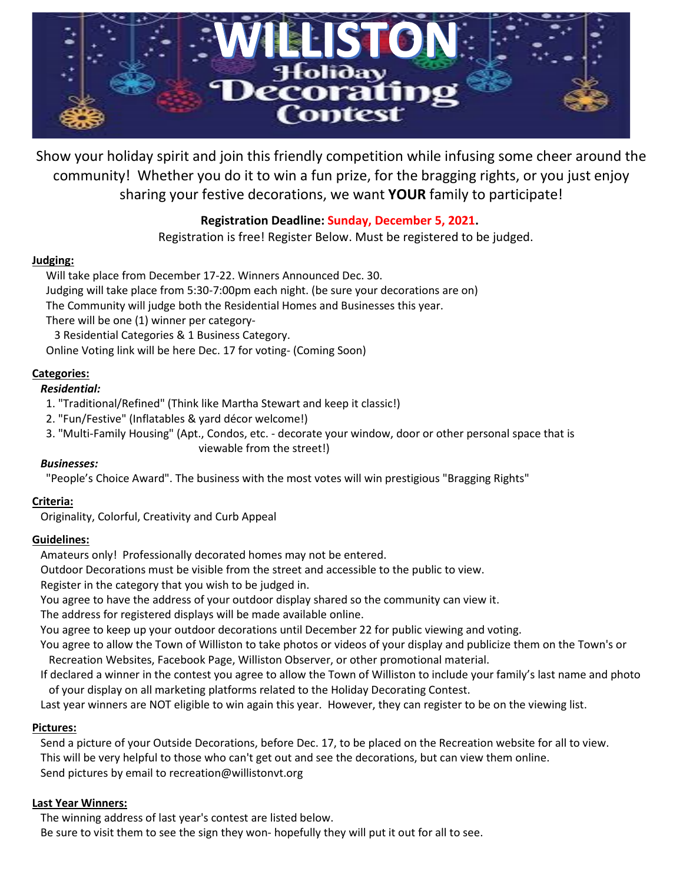

Show your holiday spirit and join this friendly competition while infusing some cheer around the community! Whether you do it to win a fun prize, for the bragging rights, or you just enjoy sharing your festive decorations, we want **YOUR** family to participate!

## **Registration Deadline: Sunday, December 5, 2021.**

Registration is free! Register Below. Must be registered to be judged.

### **Judging:**

 Will take place from December 17-22. Winners Announced Dec. 30. Judging will take place from 5:30-7:00pm each night. (be sure your decorations are on) The Community will judge both the Residential Homes and Businesses this year. There will be one (1) winner per category- 3 Residential Categories & 1 Business Category. Online Voting link will be here Dec. 17 for voting- (Coming Soon)

## **Categories:**

#### *Residential:*

- 1. "Traditional/Refined" (Think like Martha Stewart and keep it classic!)
- 2. "Fun/Festive" (Inflatables & yard décor welcome!)
- 3. "Multi-Family Housing" (Apt., Condos, etc. decorate your window, door or other personal space that is viewable from the street!)

#### *Businesses:*

"People's Choice Award". The business with the most votes will win prestigious "Bragging Rights"

## **Criteria:**

Originality, Colorful, Creativity and Curb Appeal

#### **Guidelines:**

Amateurs only! Professionally decorated homes may not be entered.

Outdoor Decorations must be visible from the street and accessible to the public to view.

Register in the category that you wish to be judged in.

You agree to have the address of your outdoor display shared so the community can view it.

The address for registered displays will be made available online.

You agree to keep up your outdoor decorations until December 22 for public viewing and voting.

You agree to allow the Town of Williston to take photos or videos of your display and publicize them on the Town's or Recreation Websites, Facebook Page, Williston Observer, or other promotional material.

If declared a winner in the contest you agree to allow the Town of Williston to include your family's last name and photo of your display on all marketing platforms related to the Holiday Decorating Contest.

Last year winners are NOT eligible to win again this year. However, they can register to be on the viewing list.

## **Pictures:**

Send a picture of your Outside Decorations, before Dec. 17, to be placed on the Recreation website for all to view. This will be very helpful to those who can't get out and see the decorations, but can view them online. Send pictures by email t[o recreation@willistonvt.org](mailto:recreation@willistonvt.org)

#### **Last Year Winners:**

The winning address of last year's contest are listed below.

Be sure to visit them to see the sign they won- hopefully they will put it out for all to see.